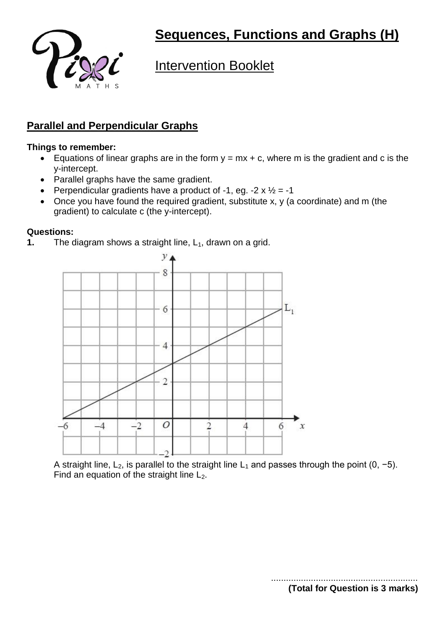

# **Intervention Booklet**

### **Parallel and Perpendicular Graphs**

### **Things to remember:**

- Equations of linear graphs are in the form  $y = mx + c$ , where m is the gradient and c is the y-intercept.
- Parallel graphs have the same gradient.
- Perpendicular gradients have a product of -1, eg. -2  $\times$   $\frac{1}{2}$  = -1
- Once you have found the required gradient, substitute x, y (a coordinate) and m (the gradient) to calculate c (the y-intercept).

#### **Questions:**

**1.** The diagram shows a straight line, L<sub>1</sub>, drawn on a grid.



A straight line, L<sub>2</sub>, is parallel to the straight line L<sub>1</sub> and passes through the point (0, -5). Find an equation of the straight line  $L_2$ .

**(Total for Question is 3 marks)**

...........................................................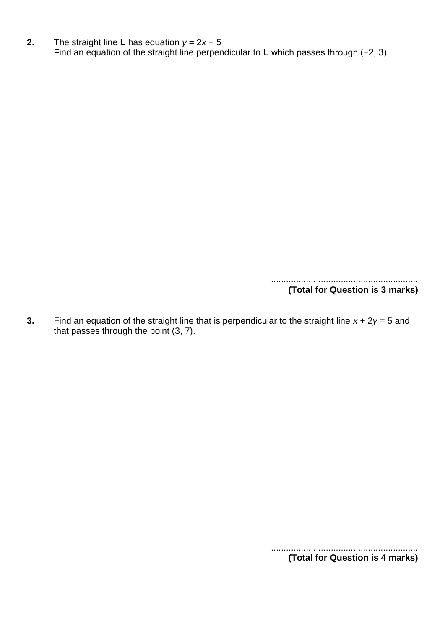**2.** The straight line **L** has equation *y* = 2*x* − 5 Find an equation of the straight line perpendicular to **L** which passes through (−2, 3).

> ........................................................... **(Total for Question is 3 marks)**

**3.** Find an equation of the straight line that is perpendicular to the straight line *x* + 2*y* = 5 and that passes through the point (3, 7).

> ........................................................... **(Total for Question is 4 marks)**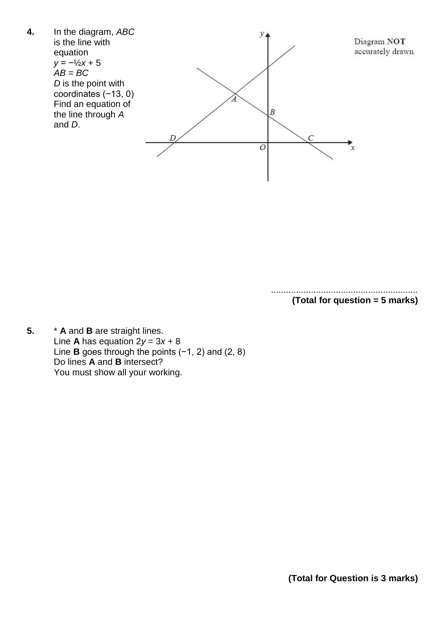

........................................................... **(Total for question = 5 marks)**

**5.** \* **A** and **B** are straight lines. Line **A** has equation  $2y = 3x + 8$ Line **B** goes through the points (−1, 2) and (2, 8) Do lines **A** and **B** intersect? You must show all your working.

**(Total for Question is 3 marks)**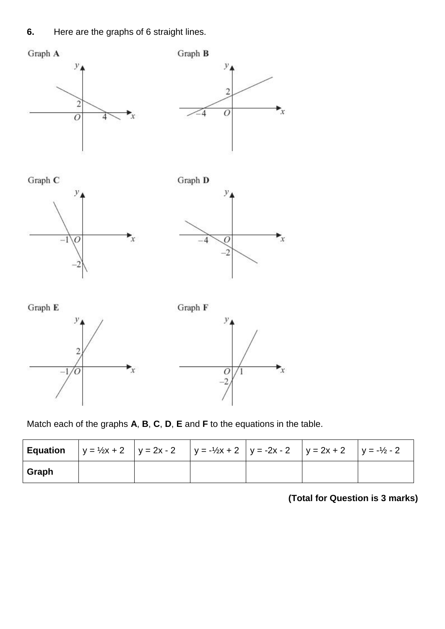**6.** Here are the graphs of 6 straight lines.











Match each of the graphs **A**, **B**, **C**, **D**, **E** and **F** to the equations in the table.

|       |  | <b>Equation</b> $\vert y = \frac{1}{2}x + 2 \vert y = 2x - 2 \vert y = -\frac{1}{2}x + 2 \vert y = -2x - 2 \vert y = 2x + 2 \vert y = -\frac{1}{2} - 2$ |  |  |
|-------|--|---------------------------------------------------------------------------------------------------------------------------------------------------------|--|--|
| Graph |  |                                                                                                                                                         |  |  |

# **(Total for Question is 3 marks)**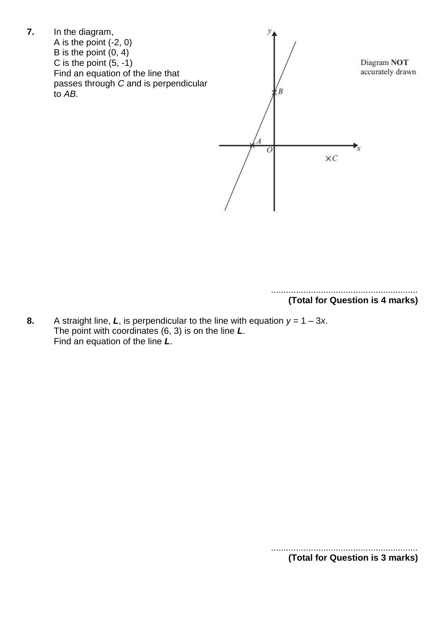

**8.** A straight line, L, is perpendicular to the line with equation  $y = 1 - 3x$ . The point with coordinates (6, 3) is on the line *L*. Find an equation of the line *L*.

> ........................................................... **(Total for Question is 3 marks)**

> ........................................................... **(Total for Question is 4 marks)**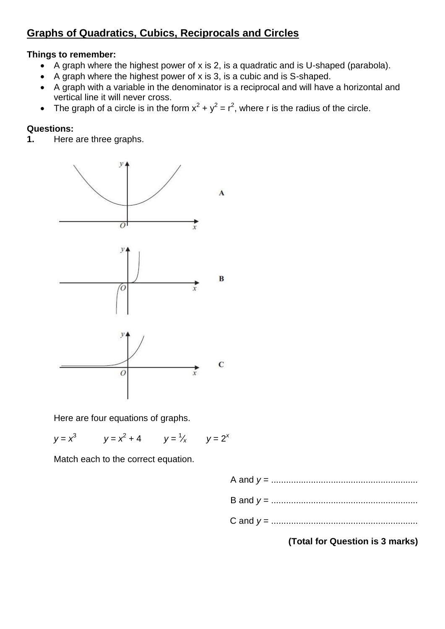# **Graphs of Quadratics, Cubics, Reciprocals and Circles**

### **Things to remember:**

- A graph where the highest power of x is 2, is a quadratic and is U-shaped (parabola).
- A graph where the highest power of  $x$  is 3, is a cubic and is S-shaped.
- A graph with a variable in the denominator is a reciprocal and will have a horizontal and vertical line it will never cross.
- The graph of a circle is in the form  $x^2 + y^2 = r^2$ , where r is the radius of the circle.

### **Questions:**

**1.** Here are three graphs.



Here are four equations of graphs.

$$
y = x3
$$
  $y = x2 + 4$   $y = \frac{1}{x}$   $y = 2x$ 

Match each to the correct equation.

A and *y* = ........................................................... B and *y* = ........................................................... C and *y* = ...........................................................

**(Total for Question is 3 marks)**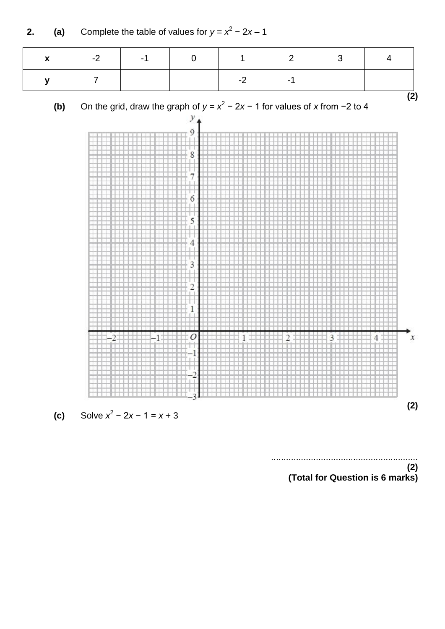

........................................................... **(2)**

**(Total for Question is 6 marks)**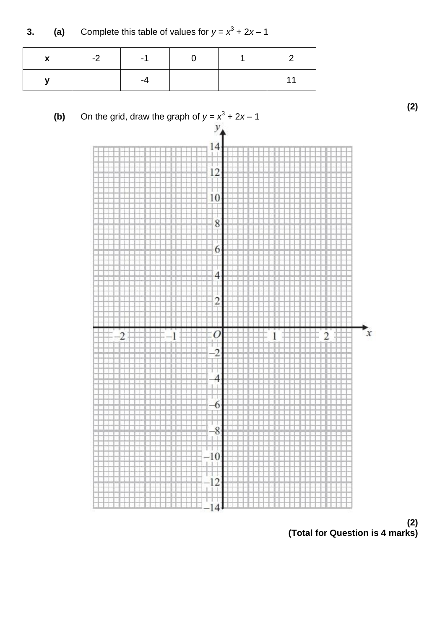**3.** (a) Complete this table of values for  $y = x^3 + 2x - 1$ 

| $\mathbf{v}$ | $-2$ $\qquad$ | $-1$ |  |  |
|--------------|---------------|------|--|--|
|              |               |      |  |  |



**(2) (Total for Question is 4 marks)**

**(2)**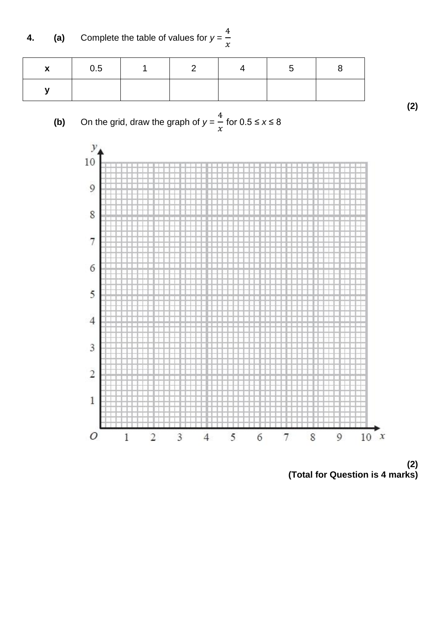**4. (a)** Complete the table of values for *y* =  $\overline{\mathbf{r}}$  $\chi$ 

| $\mathbf x$ | 0.5 | $\blacksquare$ 1 | $\overline{2}$ | .5 |  |
|-------------|-----|------------------|----------------|----|--|
|             |     |                  |                |    |  |





**(2) (Total for Question is 4 marks)**

**(2)**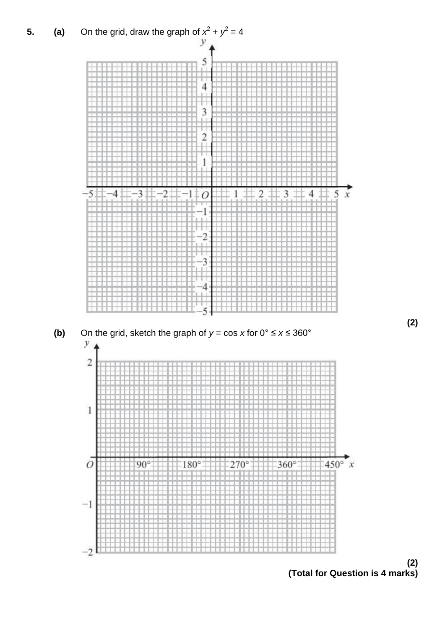





**(2)**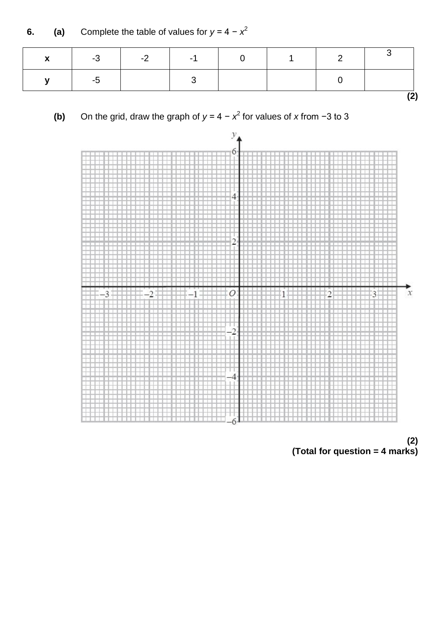**6. (a)** Complete the table of values for  $y = 4 - x^2$ 

| X           |      | $-3$ $-2$ $-1$ $0$ |  | $\sim$ 1 |  |
|-------------|------|--------------------|--|----------|--|
| $\mathbf v$ | $-5$ |                    |  |          |  |
|             |      |                    |  |          |  |

**(b)** On the grid, draw the graph of  $y = 4 - x^2$  for values of *x* from −3 to 3



**(2) (Total for question = 4 marks)**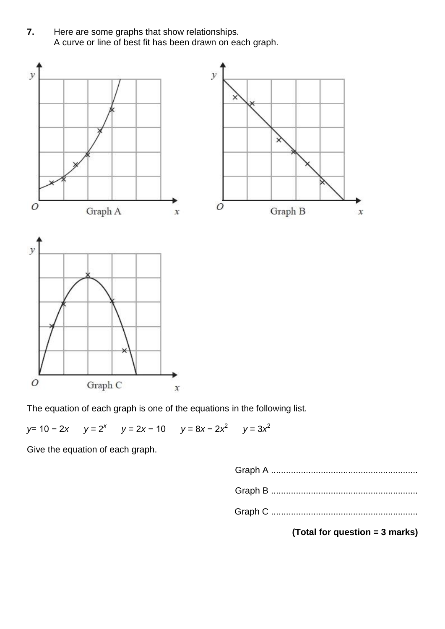**7.** Here are some graphs that show relationships. A curve or line of best fit has been drawn on each graph.



The equation of each graph is one of the equations in the following list.

*y* = 10 − 2*x*  $y = 2x - 10$   $y = 8x - 2x^2$   $y = 3x^2$ 

Give the equation of each graph.

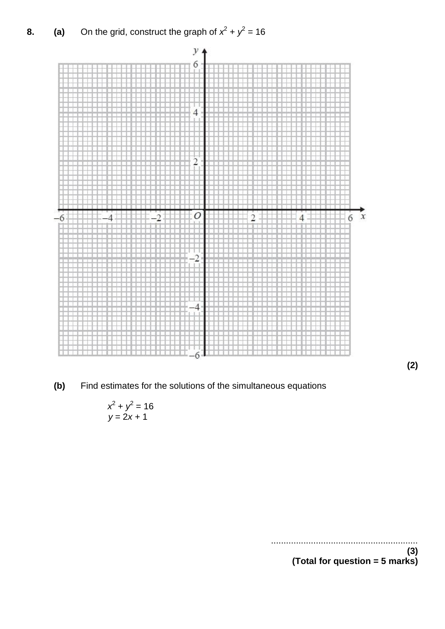**8.** (a) On the grid, construct the graph of  $x^2 + y^2 = 16$ 



**(2)**

**(b)** Find estimates for the solutions of the simultaneous equations

$$
x^2 + y^2 = 16
$$
  

$$
y = 2x + 1
$$

...........................................................

**(3) (Total for question = 5 marks)**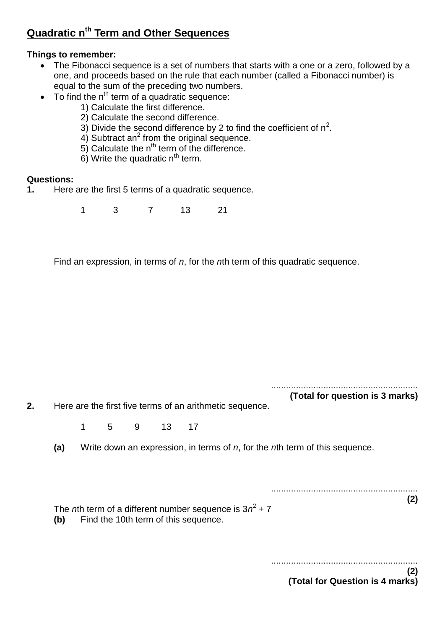# **Quadratic nth Term and Other Sequences**

### **Things to remember:**

- The Fibonacci sequence is a set of numbers that starts with a one or a zero, followed by a one, and proceeds based on the rule that each number (called a Fibonacci number) is equal to the sum of the preceding two numbers.
- $\bullet$  To find the n<sup>th</sup> term of a quadratic sequence:
	- 1) Calculate the first difference.
	- 2) Calculate the second difference.
	- 3) Divide the second difference by 2 to find the coefficient of  $n^2$ .
	- 4) Subtract an<sup>2</sup> from the original sequence.
	- 5) Calculate the  $n^{th}$  term of the difference.
	- 6) Write the quadratic  $n<sup>th</sup>$  term.

#### **Questions:**

**1.** Here are the first 5 terms of a quadratic sequence.

1 3 7 13 21

Find an expression, in terms of *n*, for the *n*th term of this quadratic sequence.

...........................................................

**(Total for question is 3 marks)**

**2.** Here are the first five terms of an arithmetic sequence.

1 5 9 13 17

**(a)** Write down an expression, in terms of *n*, for the *n*th term of this sequence.

........................................................... **(2)**

The *n*th term of a different number sequence is  $3n^2 + 7$ 

**(b)** Find the 10th term of this sequence.

........................................................... **(2) (Total for Question is 4 marks)**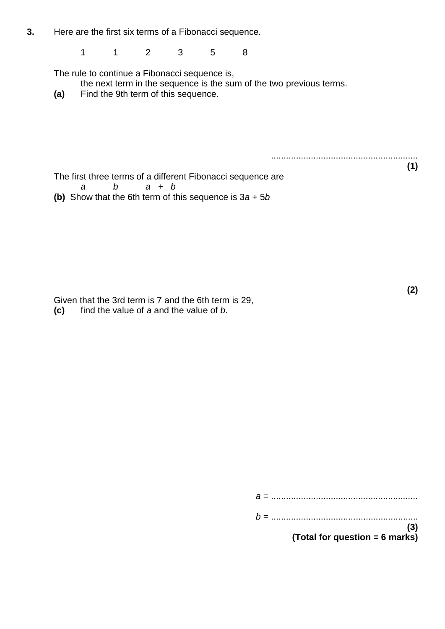**3.** Here are the first six terms of a Fibonacci sequence.

1 1 2 3 5 8

The rule to continue a Fibonacci sequence is,

the next term in the sequence is the sum of the two previous terms.

**(a)** Find the 9th term of this sequence.

...........................................................

**(1)**

**(2)**

The first three terms of a different Fibonacci sequence are *a b a + b* **(b)** Show that the 6th term of this sequence is 3*a* + 5*b*

Given that the 3rd term is 7 and the 6th term is 29,

**(c)** find the value of *a* and the value of *b*.

*a* = ........................................................... *b* = ........................................................... **(3) (Total for question = 6 marks)**